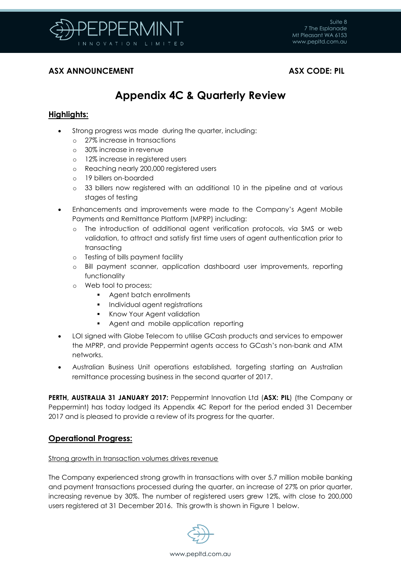

## **ASX ANNOUNCEMENT ASX CODE: PIL**

# **Appendix 4C & Quarterly Review**

## **Highlights:**

- Strong progress was made during the quarter, including:
	- o 27% increase in transactions
	- o 30% increase in revenue
	- o 12% increase in registered users
	- o Reaching nearly 200,000 registered users
	- o 19 billers on-boarded
	- o 33 billers now registered with an additional 10 in the pipeline and at various stages of testing
- Enhancements and improvements were made to the Company's Agent Mobile Payments and Remittance Platform (MPRP) including:
	- o The introduction of additional agent verification protocols, via SMS or web validation, to attract and satisfy first time users of agent authentication prior to transacting
	- o Testing of bills payment facility
	- o Bill payment scanner, application dashboard user improvements, reporting functionality
	- o Web tool to process;
		- **Agent batch enrollments**
		- **Individual agent registrations**
		- **Know Your Agent validation**
		- Agent and mobile application reporting
- LOI signed with Globe Telecom to utilise GCash products and services to empower the MPRP, and provide Peppermint agents access to GCash's non-bank and ATM networks.
- Australian Business Unit operations established, targeting starting an Australian remittance processing business in the second quarter of 2017.

**PERTH, AUSTRALIA 31 JANUARY 2017:** Peppermint Innovation Ltd (**ASX: PIL**) (the Company or Peppermint) has today lodged its Appendix 4C Report for the period ended 31 December 2017 and is pleased to provide a review of its progress for the quarter.

## **Operational Progress:**

### Strong growth in transaction volumes drives revenue

The Company experienced strong growth in transactions with over 5.7 million mobile banking and payment transactions processed during the quarter, an increase of 27% on prior quarter, increasing revenue by 30%. The number of registered users grew 12%, with close to 200,000 users registered at 31 December 2016. This growth is shown in Figure 1 below.

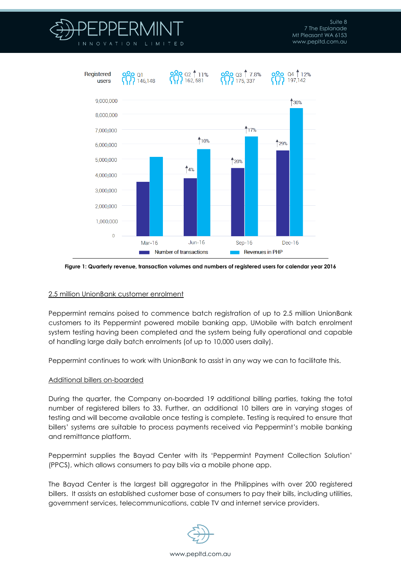



**Figure 1: Quarterly revenue, transaction volumes and numbers of registered users for calendar year 2016**

### 2.5 million UnionBank customer enrolment

Peppermint remains poised to commence batch registration of up to 2.5 million UnionBank customers to its Peppermint powered mobile banking app, UMobile with batch enrolment system testing having been completed and the system being fully operational and capable of handling large daily batch enrolments (of up to 10,000 users daily).

Peppermint continues to work with UnionBank to assist in any way we can to facilitate this.

#### Additional billers on-boarded

During the quarter, the Company on-boarded 19 additional billing parties, taking the total number of registered billers to 33. Further, an additional 10 billers are in varying stages of testing and will become available once testing is complete. Testing is required to ensure that billers' systems are suitable to process payments received via Peppermint's mobile banking and remittance platform.

Peppermint supplies the Bayad Center with its 'Peppermint Payment Collection Solution' (PPCS), which allows consumers to pay bills via a mobile phone app.

The Bayad Center is the largest bill aggregator in the Philippines with over 200 registered billers. It assists an established customer base of consumers to pay their bills, including utilities, government services, telecommunications, cable TV and internet service providers.

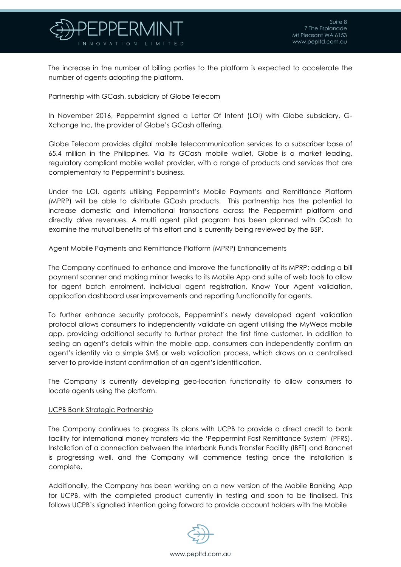

The increase in the number of billing parties to the platform is expected to accelerate the number of agents adopting the platform.

#### Partnership with GCash, subsidiary of Globe Telecom

In November 2016, Peppermint signed a Letter Of Intent (LOI) with Globe subsidiary, G-Xchange Inc, the provider of Globe's GCash offering.

Globe Telecom provides digital mobile telecommunication services to a subscriber base of 65.4 million in the Philippines. Via its GCash mobile wallet, Globe is a market leading, regulatory compliant mobile wallet provider, with a range of products and services that are complementary to Peppermint's business.

Under the LOI, agents utilising Peppermint's Mobile Payments and Remittance Platform (MPRP) will be able to distribute GCash products. This partnership has the potential to increase domestic and international transactions across the Peppermint platform and directly drive revenues. A multi agent pilot program has been planned with GCash to examine the mutual benefits of this effort and is currently being reviewed by the BSP.

#### Agent Mobile Payments and Remittance Platform (MPRP) Enhancements

The Company continued to enhance and improve the functionality of its MPRP; adding a bill payment scanner and making minor tweaks to its Mobile App and suite of web tools to allow for agent batch enrolment, individual agent registration, Know Your Agent validation, application dashboard user improvements and reporting functionality for agents.

To further enhance security protocols, Peppermint's newly developed agent validation protocol allows consumers to independently validate an agent utilising the MyWeps mobile app, providing additional security to further protect the first time customer. In addition to seeing an agent's details within the mobile app, consumers can independently confirm an agent's identity via a simple SMS or web validation process, which draws on a centralised server to provide instant confirmation of an agent's identification.

The Company is currently developing geo-location functionality to allow consumers to locate agents using the platform.

#### UCPB Bank Strategic Partnership

The Company continues to progress its plans with UCPB to provide a direct credit to bank facility for international money transfers via the 'Peppermint Fast Remittance System' (PFRS). Installation of a connection between the Interbank Funds Transfer Facility (IBFT) and Bancnet is progressing well, and the Company will commence testing once the installation is complete.

Additionally, the Company has been working on a new version of the Mobile Banking App for UCPB, with the completed product currently in testing and soon to be finalised. This follows UCPB's signalled intention going forward to provide account holders with the Mobile

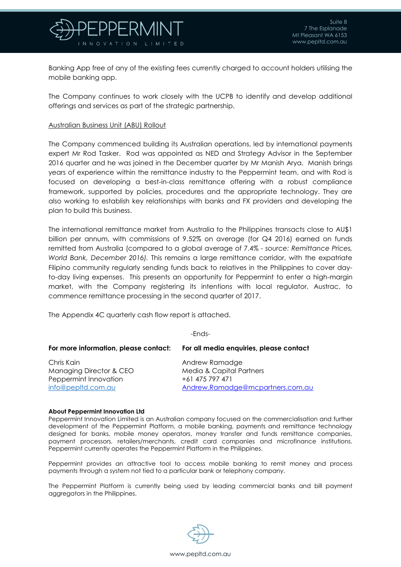

Banking App free of any of the existing fees currently charged to account holders utilising the mobile banking app.

The Company continues to work closely with the UCPB to identify and develop additional offerings and services as part of the strategic partnership.

#### Australian Business Unit (ABU) Rollout

The Company commenced building its Australian operations, led by international payments expert Mr Rod Tasker. Rod was appointed as NED and Strategy Advisor in the September 2016 quarter and he was joined in the December quarter by Mr Manish Arya. Manish brings years of experience within the remittance industry to the Peppermint team, and with Rod is focused on developing a best-in-class remittance offering with a robust compliance framework, supported by policies, procedures and the appropriate technology. They are also working to establish key relationships with banks and FX providers and developing the plan to build this business.

The international remittance market from Australia to the Philippines transacts close to AU\$1 billion per annum, with commissions of 9.52% on average (for Q4 2016) earned on funds remitted from Australia (compared to a global average of 7.4% - *source: Remittance Prices, World Bank, December 2016).* This remains a large remittance corridor, with the expatriate Filipino community regularly sending funds back to relatives in the Philippines to cover dayto-day living expenses. This presents an opportunity for Peppermint to enter a high-margin market, with the Company registering its intentions with local regulator, Austrac, to commence remittance processing in the second quarter of 2017.

The Appendix 4C quarterly cash flow report is attached.

| . .<br>۰. |  |
|-----------|--|
|-----------|--|

| For more information, please contact: | For all media enquiries, please contact |
|---------------------------------------|-----------------------------------------|
| Chris Kain                            | Andrew Ramadge                          |
| Managing Director & CEO               | <b>Media &amp; Capital Partners</b>     |
| Peppermint Innovation                 | +61 475 797 471                         |
| info@pepltd.com.au                    | Andrew.Ramadge@mcpartners.com.au        |

#### **About Peppermint Innovation Ltd**

Peppermint Innovation Limited is an Australian company focused on the commercialisation and further development of the Peppermint Platform, a mobile banking, payments and remittance technology designed for banks, mobile money operators, money transfer and funds remittance companies, payment processors, retailers/merchants, credit card companies and microfinance institutions. Peppermint currently operates the Peppermint Platform in the Philippines.

Peppermint provides an attractive tool to access mobile banking to remit money and process payments through a system not tied to a particular bank or telephony company.

The Peppermint Platform is currently being used by leading commercial banks and bill payment aggregators in the Philippines.

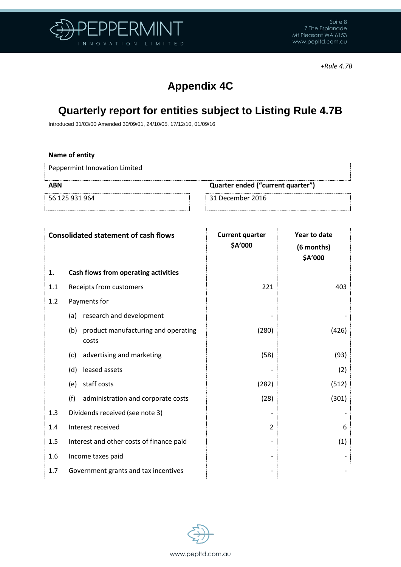

 $\bar{4}$ 

*+Rule 4.7B*

# **Appendix 4C**

# **Quarterly report for entities subject to Listing Rule 4.7B**

Introduced 31/03/00 Amended 30/09/01, 24/10/05, 17/12/10, 01/09/16

| Name of entity                |                                   |
|-------------------------------|-----------------------------------|
| Peppermint Innovation Limited |                                   |
| <b>ABN</b>                    | Quarter ended ("current quarter") |
| 56 125 931 964                | 31 December 2016                  |
|                               |                                   |

|     | <b>Consolidated statement of cash flows</b>      | <b>Current quarter</b><br>\$A'000 | Year to date<br>(6 months)<br>\$A'000 |
|-----|--------------------------------------------------|-----------------------------------|---------------------------------------|
| 1.  | Cash flows from operating activities             |                                   |                                       |
| 1.1 | Receipts from customers                          | 221                               | 403                                   |
| 1.2 | Payments for                                     |                                   |                                       |
|     | research and development<br>(a)                  |                                   |                                       |
|     | (b) product manufacturing and operating<br>costs | (280)                             | (426)                                 |
|     | advertising and marketing<br>(c)                 | (58)                              | (93)                                  |
|     | leased assets<br>(d)                             |                                   | (2)                                   |
|     | staff costs<br>(e)                               | (282)                             | (512)                                 |
|     | (f)<br>administration and corporate costs        | (28)                              | (301)                                 |
| 1.3 | Dividends received (see note 3)                  |                                   |                                       |
| 1.4 | Interest received                                | $\mathcal{P}$                     | 6                                     |
| 1.5 | Interest and other costs of finance paid         |                                   | (1)                                   |
| 1.6 | Income taxes paid                                |                                   |                                       |
| 1.7 | Government grants and tax incentives             |                                   |                                       |

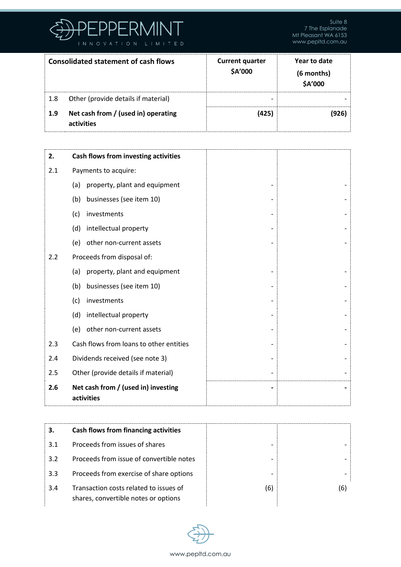

|     | <b>Consolidated statement of cash flows</b>       | <b>Current quarter</b><br>\$A'000 | Year to date<br>(6 months)<br>\$A'000 |
|-----|---------------------------------------------------|-----------------------------------|---------------------------------------|
| 1.8 | Other (provide details if material)               | -                                 |                                       |
| 1.9 | Net cash from / (used in) operating<br>activities | (425)                             | (926)                                 |

| 2.  | Cash flows from investing activities              |  |
|-----|---------------------------------------------------|--|
| 2.1 | Payments to acquire:                              |  |
|     | property, plant and equipment<br>(a)              |  |
|     | businesses (see item 10)<br>(b)                   |  |
|     | (c)<br>investments                                |  |
|     | intellectual property<br>(d)                      |  |
|     | other non-current assets<br>(e)                   |  |
| 2.2 | Proceeds from disposal of:                        |  |
|     | property, plant and equipment<br>(a)              |  |
|     | businesses (see item 10)<br>(b)                   |  |
|     | (c)<br>investments                                |  |
|     | intellectual property<br>(d)                      |  |
|     | (e)<br>other non-current assets                   |  |
| 2.3 | Cash flows from loans to other entities           |  |
| 2.4 | Dividends received (see note 3)                   |  |
| 2.5 | Other (provide details if material)               |  |
| 2.6 | Net cash from / (used in) investing<br>activities |  |

| З.  | Cash flows from financing activities                                           |     |     |
|-----|--------------------------------------------------------------------------------|-----|-----|
| 3.1 | Proceeds from issues of shares                                                 |     |     |
| 3.2 | Proceeds from issue of convertible notes                                       |     |     |
| 3.3 | Proceeds from exercise of share options                                        | -   |     |
| 3.4 | Transaction costs related to issues of<br>shares, convertible notes or options | (6) | (6) |

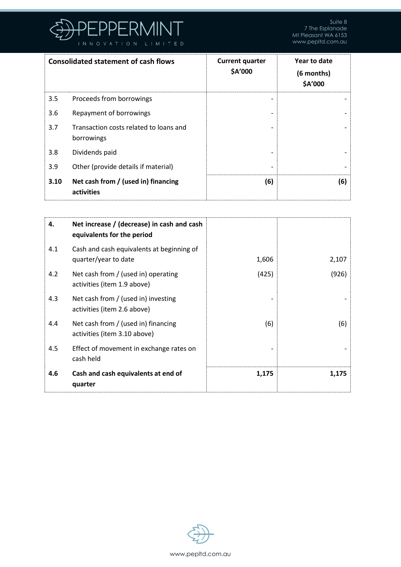

|      | <b>Consolidated statement of cash flows</b>          | <b>Current quarter</b><br>\$A'000 | Year to date<br>(6 months)<br>\$A'000 |
|------|------------------------------------------------------|-----------------------------------|---------------------------------------|
| 3.5  | Proceeds from borrowings                             |                                   |                                       |
| 3.6  | Repayment of borrowings                              |                                   |                                       |
| 3.7  | Transaction costs related to loans and<br>borrowings |                                   |                                       |
| 3.8  | Dividends paid                                       |                                   |                                       |
| 3.9  | Other (provide details if material)                  |                                   |                                       |
| 3.10 | Net cash from / (used in) financing<br>activities    | (6)                               | (6)                                   |

| 4.  | Net increase / (decrease) in cash and cash<br>equivalents for the period |       |       |
|-----|--------------------------------------------------------------------------|-------|-------|
| 4.1 | Cash and cash equivalents at beginning of<br>quarter/year to date        | 1,606 | 2,107 |
| 4.2 | Net cash from / (used in) operating<br>activities (item 1.9 above)       | (425) | (926) |
| 4.3 | Net cash from / (used in) investing<br>activities (item 2.6 above)       |       |       |
| 4.4 | Net cash from / (used in) financing<br>activities (item 3.10 above)      | (6)   | (6)   |
| 4.5 | Effect of movement in exchange rates on<br>cash held                     |       |       |
| 4.6 | Cash and cash equivalents at end of<br>quarter                           | 1,175 | 1,175 |

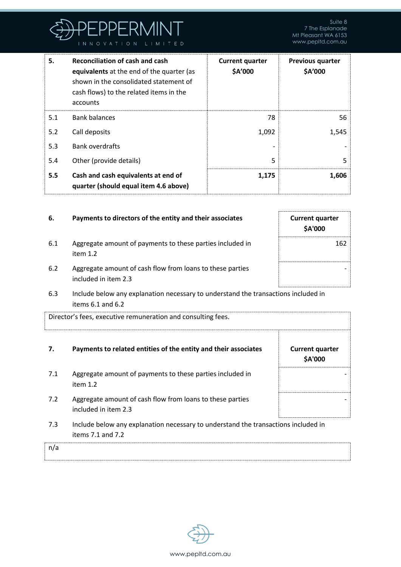

| 5.  | <b>Reconciliation of cash and cash</b><br>equivalents at the end of the quarter (as<br>shown in the consolidated statement of<br>cash flows) to the related items in the<br>accounts | <b>Current quarter</b><br>\$A'000 | <b>Previous quarter</b><br>\$A'000 |
|-----|--------------------------------------------------------------------------------------------------------------------------------------------------------------------------------------|-----------------------------------|------------------------------------|
| 5.1 | <b>Bank balances</b>                                                                                                                                                                 | 78                                | 56                                 |
| 5.2 | Call deposits                                                                                                                                                                        | 1,092                             | 1,545                              |
| 5.3 | <b>Bank overdrafts</b>                                                                                                                                                               |                                   |                                    |
| 5.4 | Other (provide details)                                                                                                                                                              | 5                                 | 5                                  |
| 5.5 | Cash and cash equivalents at end of<br>quarter (should equal item 4.6 above)                                                                                                         | 1,175                             | 1,606                              |

| 6.  | Payments to directors of the entity and their associates                           | <b>Current quarter</b><br>\$A'000 |
|-----|------------------------------------------------------------------------------------|-----------------------------------|
| 6.1 | Aggregate amount of payments to these parties included in<br>item $1.2$            | 162                               |
| 6.2 | Aggregate amount of cash flow from loans to these parties<br>included in item 2.3  |                                   |
| 6.3 | Include below any explanation necessary to understand the transactions included in |                                   |

6.3 Include below any explanation necessary to understand the transactions included in items 6.1 and 6.2

| Director's fees, executive remuneration and consulting fees. |                                                                                                             |                                   |
|--------------------------------------------------------------|-------------------------------------------------------------------------------------------------------------|-----------------------------------|
| 7.                                                           | Payments to related entities of the entity and their associates                                             | <b>Current quarter</b><br>\$A'000 |
| 7.1                                                          | Aggregate amount of payments to these parties included in<br>item $1.2$                                     |                                   |
| 7.2                                                          | Aggregate amount of cash flow from loans to these parties<br>included in item 2.3                           |                                   |
| 7.3                                                          | Include below any explanation necessary to understand the transactions included in<br>items $7.1$ and $7.2$ |                                   |
| n/a                                                          |                                                                                                             |                                   |

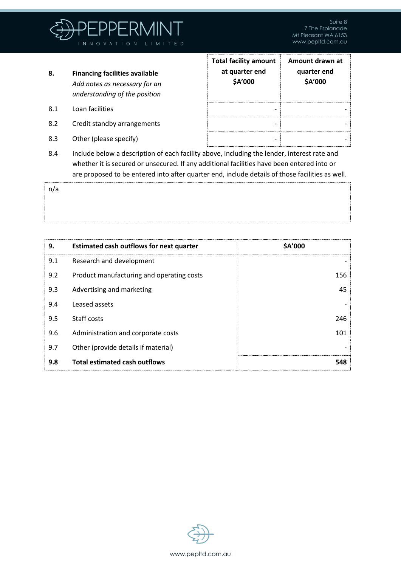

- **8. Financing facilities available** *Add notes as necessary for an understanding of the position*
- 8.1 Loan facilities

n/a

- 8.2 Credit standby arrangements
- 8.3 Other (please specify)

| <b>Total facility amount</b><br>at quarter end<br>\$A'000 | Amount drawn at<br>quarter end<br>\$A'000 |
|-----------------------------------------------------------|-------------------------------------------|
|                                                           |                                           |
|                                                           |                                           |

8.4 Include below a description of each facility above, including the lender, interest rate and whether it is secured or unsecured. If any additional facilities have been entered into or are proposed to be entered into after quarter end, include details of those facilities as well.

| 9.  | Estimated cash outflows for next quarter  | \$A'000 |
|-----|-------------------------------------------|---------|
| 9.1 | Research and development                  |         |
| 9.2 | Product manufacturing and operating costs | 156     |
| 9.3 | Advertising and marketing                 | 45      |
| 9.4 | Leased assets                             |         |
| 9.5 | Staff costs                               | 246     |
| 9.6 | Administration and corporate costs        | 101     |
| 9.7 | Other (provide details if material)       |         |
| 9.8 | <b>Total estimated cash outflows</b>      | 548     |